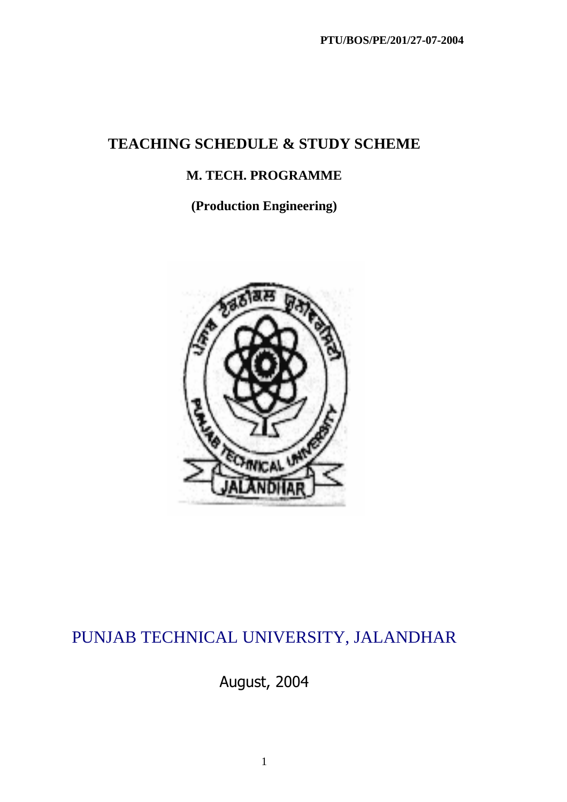# **TEACHING SCHEDULE & STUDY SCHEME**

# **M. TECH. PROGRAMME**

**(Production Engineering)** 



# PUNJAB TECHNICAL UNIVERSITY, JALANDHAR

August, 2004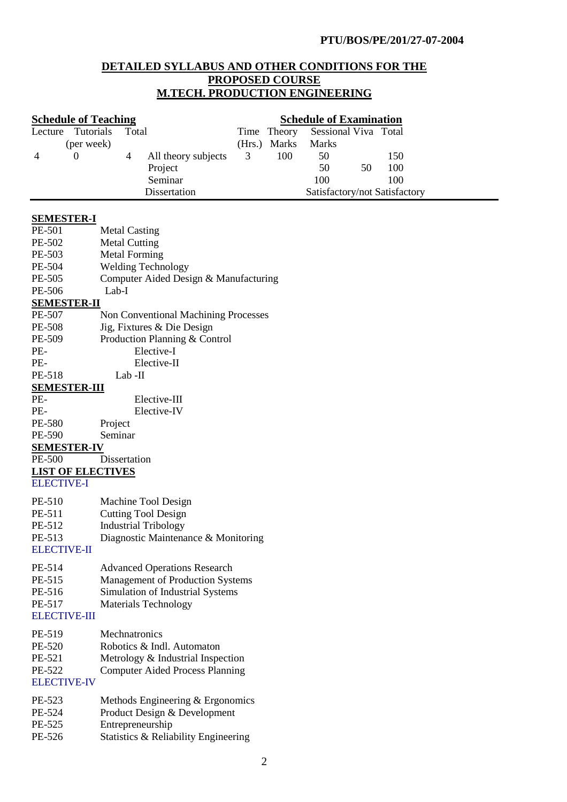### **DETAILED SYLLABUS AND OTHER CONDITIONS FOR THE PROPOSED COURSE M.TECH. PRODUCTION ENGINEERING**

|                          | <b>Schedule of Teaching</b><br><b>Schedule of Examination</b> |        |              |                      |    |                               |  |
|--------------------------|---------------------------------------------------------------|--------|--------------|----------------------|----|-------------------------------|--|
| Tutorials<br>Lecture     | Total                                                         | Time   | Theory       | Sessional Viva Total |    |                               |  |
| (per week)               |                                                               | (Hrs.) | <b>Marks</b> | Marks                |    |                               |  |
| 4<br>$\Omega$            | 4<br>All theory subjects                                      | 3      | 100          | 50                   |    | 150                           |  |
|                          | Project                                                       |        |              | 50                   | 50 | 100                           |  |
|                          | Seminar                                                       |        |              | 100                  |    | 100                           |  |
|                          | Dissertation                                                  |        |              |                      |    | Satisfactory/not Satisfactory |  |
|                          |                                                               |        |              |                      |    |                               |  |
| <b>SEMESTER-I</b>        |                                                               |        |              |                      |    |                               |  |
| PE-501                   | <b>Metal Casting</b>                                          |        |              |                      |    |                               |  |
| PE-502                   | <b>Metal Cutting</b>                                          |        |              |                      |    |                               |  |
| PE-503                   | <b>Metal Forming</b>                                          |        |              |                      |    |                               |  |
| PE-504                   | <b>Welding Technology</b>                                     |        |              |                      |    |                               |  |
| PE-505                   | Computer Aided Design & Manufacturing                         |        |              |                      |    |                               |  |
| PE-506                   | Lab-I                                                         |        |              |                      |    |                               |  |
| <b>SEMESTER-II</b>       |                                                               |        |              |                      |    |                               |  |
| PE-507                   | Non Conventional Machining Processes                          |        |              |                      |    |                               |  |
| PE-508                   | Jig, Fixtures & Die Design                                    |        |              |                      |    |                               |  |
| PE-509                   | Production Planning & Control                                 |        |              |                      |    |                               |  |
| PE-                      | Elective-I                                                    |        |              |                      |    |                               |  |
| PE-                      | Elective-II                                                   |        |              |                      |    |                               |  |
| PE-518                   | $Lab$ -II                                                     |        |              |                      |    |                               |  |
| <b>SEMESTER-III</b>      |                                                               |        |              |                      |    |                               |  |
| PE-                      | Elective-III                                                  |        |              |                      |    |                               |  |
| PE-                      | Elective-IV                                                   |        |              |                      |    |                               |  |
| PE-580                   | Project                                                       |        |              |                      |    |                               |  |
| PE-590                   | Seminar                                                       |        |              |                      |    |                               |  |
| <b>SEMESTER-IV</b>       |                                                               |        |              |                      |    |                               |  |
| PE-500                   | Dissertation                                                  |        |              |                      |    |                               |  |
| <b>LIST OF ELECTIVES</b> |                                                               |        |              |                      |    |                               |  |
| <b>ELECTIVE-I</b>        |                                                               |        |              |                      |    |                               |  |
|                          |                                                               |        |              |                      |    |                               |  |
| PE-510                   | Machine Tool Design                                           |        |              |                      |    |                               |  |
| PE-511                   | <b>Cutting Tool Design</b>                                    |        |              |                      |    |                               |  |
| PE-512                   | <b>Industrial Tribology</b>                                   |        |              |                      |    |                               |  |
| PE-513                   | Diagnostic Maintenance & Monitoring                           |        |              |                      |    |                               |  |
| <b>ELECTIVE-II</b>       |                                                               |        |              |                      |    |                               |  |
| PE-514                   | <b>Advanced Operations Research</b>                           |        |              |                      |    |                               |  |
| PE-515                   | <b>Management of Production Systems</b>                       |        |              |                      |    |                               |  |
| PE-516                   | Simulation of Industrial Systems                              |        |              |                      |    |                               |  |
| PE-517                   | <b>Materials Technology</b>                                   |        |              |                      |    |                               |  |
| <b>ELECTIVE-III</b>      |                                                               |        |              |                      |    |                               |  |
|                          |                                                               |        |              |                      |    |                               |  |
| PE-519                   | Mechnatronics                                                 |        |              |                      |    |                               |  |
| PE-520                   | Robotics & Indl. Automaton                                    |        |              |                      |    |                               |  |
| PE-521                   | Metrology & Industrial Inspection                             |        |              |                      |    |                               |  |
| PE-522                   | <b>Computer Aided Process Planning</b>                        |        |              |                      |    |                               |  |
| <b>ELECTIVE-IV</b>       |                                                               |        |              |                      |    |                               |  |
| PE-523                   | Methods Engineering & Ergonomics                              |        |              |                      |    |                               |  |
| PE-524                   | Product Design & Development                                  |        |              |                      |    |                               |  |
| PE-525                   | Entrepreneurship                                              |        |              |                      |    |                               |  |
| PE-526                   | Statistics & Reliability Engineering                          |        |              |                      |    |                               |  |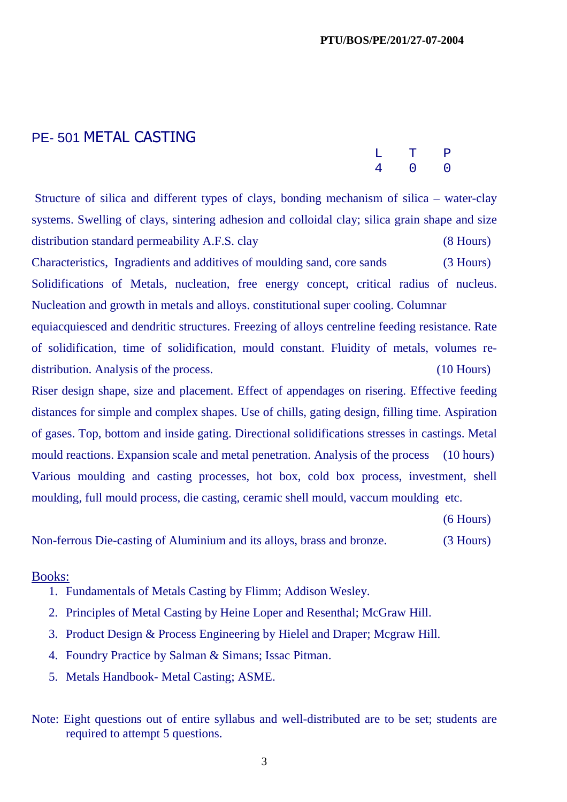## PE- 501 METAL CASTING

|  | L T P               |  |
|--|---------------------|--|
|  | $4\qquad 0\qquad 0$ |  |

Structure of silica and different types of clays, bonding mechanism of silica – water-clay systems. Swelling of clays, sintering adhesion and colloidal clay; silica grain shape and size distribution standard permeability A.F.S. clay (8 Hours) Characteristics, Ingradients and additives of moulding sand, core sands (3 Hours) Solidifications of Metals, nucleation, free energy concept, critical radius of nucleus. Nucleation and growth in metals and alloys. constitutional super cooling. Columnar equiacquiesced and dendritic structures. Freezing of alloys centreline feeding resistance. Rate

of solidification, time of solidification, mould constant. Fluidity of metals, volumes redistribution. Analysis of the process. (10 Hours)

Riser design shape, size and placement. Effect of appendages on risering. Effective feeding distances for simple and complex shapes. Use of chills, gating design, filling time. Aspiration of gases. Top, bottom and inside gating. Directional solidifications stresses in castings. Metal mould reactions. Expansion scale and metal penetration. Analysis of the process (10 hours) Various moulding and casting processes, hot box, cold box process, investment, shell moulding, full mould process, die casting, ceramic shell mould, vaccum moulding etc.

(6 Hours)

Non-ferrous Die-casting of Aluminium and its alloys, brass and bronze. (3 Hours)

#### Books:

- 1. Fundamentals of Metals Casting by Flimm; Addison Wesley.
- 2. Principles of Metal Casting by Heine Loper and Resenthal; McGraw Hill.
- 3. Product Design & Process Engineering by Hielel and Draper; Mcgraw Hill.
- 4. Foundry Practice by Salman & Simans; Issac Pitman.
- 5. Metals Handbook- Metal Casting; ASME.
- Note: Eight questions out of entire syllabus and well-distributed are to be set; students are required to attempt 5 questions.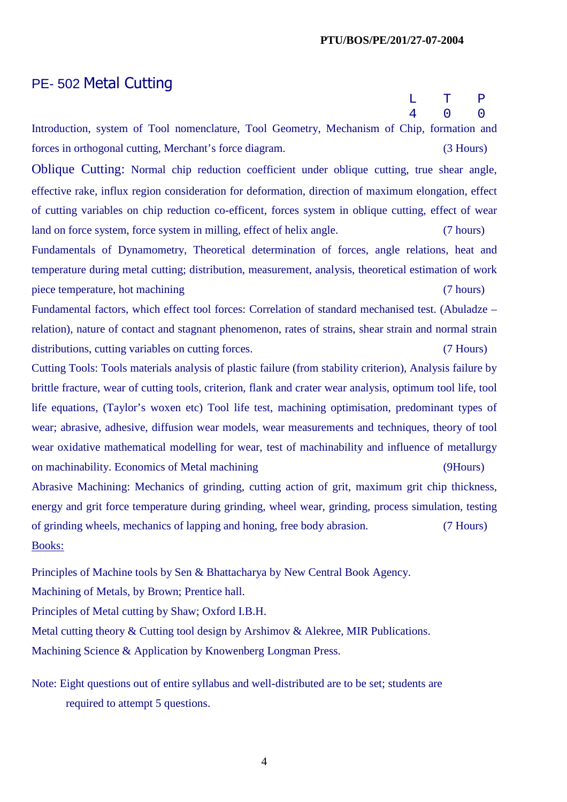# PE- 502 Metal Cutting

|                                                                                                             | L | т         | $\mathbf{P}$   |
|-------------------------------------------------------------------------------------------------------------|---|-----------|----------------|
|                                                                                                             | 4 |           | $\overline{0}$ |
| Introduction, system of Tool nomenclature, Tool Geometry, Mechanism of Chip, formation and                  |   |           |                |
| forces in orthogonal cutting, Merchant's force diagram.                                                     |   | (3 Hours) |                |
| Oblique Cutting: Normal chip reduction coefficient under oblique cutting, true shear angle,                 |   |           |                |
| effective rake, influx region consideration for deformation, direction of maximum elongation, effect        |   |           |                |
| of cutting variables on chip reduction co-efficent, forces system in oblique cutting, effect of wear        |   |           |                |
| land on force system, force system in milling, effect of helix angle.                                       |   | (7 hours) |                |
| Fundamentals of Dynamometry, Theoretical determination of forces, angle relations, heat and                 |   |           |                |
| temperature during metal cutting; distribution, measurement, analysis, theoretical estimation of work       |   |           |                |
| piece temperature, hot machining                                                                            |   | (7 hours) |                |
| Fundamental factors, which effect tool forces: Correlation of standard mechanised test. (Abuladze -         |   |           |                |
| relation), nature of contact and stagnant phenomenon, rates of strains, shear strain and normal strain      |   |           |                |
| distributions, cutting variables on cutting forces.                                                         |   | (7 Hours) |                |
| Cutting Tools: Tools materials analysis of plastic failure (from stability criterion), Analysis failure by  |   |           |                |
| brittle fracture, wear of cutting tools, criterion, flank and crater wear analysis, optimum tool life, tool |   |           |                |
| life equations, (Taylor's woxen etc) Tool life test, machining optimisation, predominant types of           |   |           |                |
| wear; abrasive, adhesive, diffusion wear models, wear measurements and techniques, theory of tool           |   |           |                |
| wear oxidative mathematical modelling for wear, test of machinability and influence of metallurgy           |   |           |                |
| on machinability. Economics of Metal machining                                                              |   | (9Hours)  |                |
| Abrasive Machining: Mechanics of grinding, cutting action of grit, maximum grit chip thickness,             |   |           |                |
| energy and grit force temperature during grinding, wheel wear, grinding, process simulation, testing        |   |           |                |
| of grinding wheels, mechanics of lapping and honing, free body abrasion.                                    |   | (7 Hours) |                |

Books:

Principles of Machine tools by Sen & Bhattacharya by New Central Book Agency.

Machining of Metals, by Brown; Prentice hall.

Principles of Metal cutting by Shaw; Oxford I.B.H.

Metal cutting theory & Cutting tool design by Arshimov & Alekree, MIR Publications. Machining Science & Application by Knowenberg Longman Press.

Note: Eight questions out of entire syllabus and well-distributed are to be set; students are required to attempt 5 questions.

4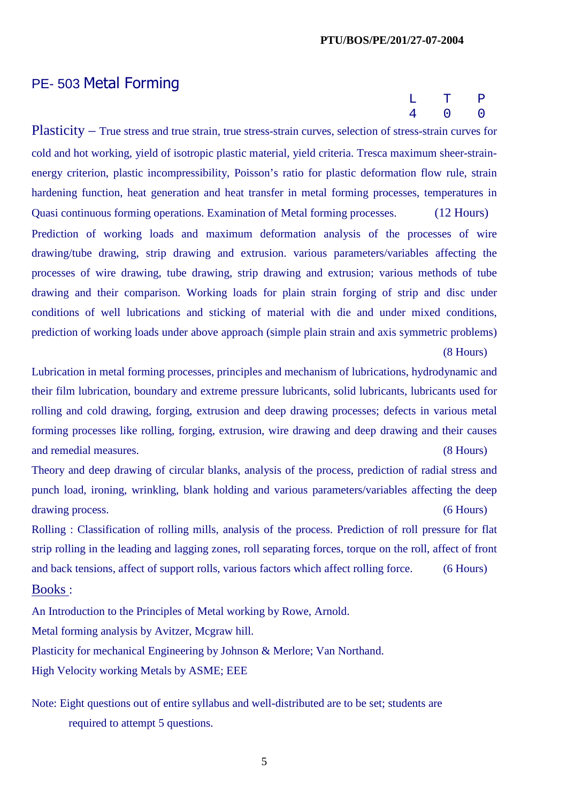# PE- 503 Metal Forming

|  | L T P               |  |
|--|---------------------|--|
|  | $4\qquad 0\qquad 0$ |  |

Plasticity – True stress and true strain, true stress-strain curves, selection of stress-strain curves for cold and hot working, yield of isotropic plastic material, yield criteria. Tresca maximum sheer-strainenergy criterion, plastic incompressibility, Poisson's ratio for plastic deformation flow rule, strain hardening function, heat generation and heat transfer in metal forming processes, temperatures in Quasi continuous forming operations. Examination of Metal forming processes. (12 Hours) Prediction of working loads and maximum deformation analysis of the processes of wire drawing/tube drawing, strip drawing and extrusion. various parameters/variables affecting the processes of wire drawing, tube drawing, strip drawing and extrusion; various methods of tube drawing and their comparison. Working loads for plain strain forging of strip and disc under conditions of well lubrications and sticking of material with die and under mixed conditions, prediction of working loads under above approach (simple plain strain and axis symmetric problems)

(8 Hours)

Lubrication in metal forming processes, principles and mechanism of lubrications, hydrodynamic and their film lubrication, boundary and extreme pressure lubricants, solid lubricants, lubricants used for rolling and cold drawing, forging, extrusion and deep drawing processes; defects in various metal forming processes like rolling, forging, extrusion, wire drawing and deep drawing and their causes and remedial measures. (8 Hours)

Theory and deep drawing of circular blanks, analysis of the process, prediction of radial stress and punch load, ironing, wrinkling, blank holding and various parameters/variables affecting the deep drawing process. (6 Hours)

Rolling : Classification of rolling mills, analysis of the process. Prediction of roll pressure for flat strip rolling in the leading and lagging zones, roll separating forces, torque on the roll, affect of front and back tensions, affect of support rolls, various factors which affect rolling force. (6 Hours)

### Books :

An Introduction to the Principles of Metal working by Rowe, Arnold. Metal forming analysis by Avitzer, Mcgraw hill. Plasticity for mechanical Engineering by Johnson & Merlore; Van Northand. High Velocity working Metals by ASME; EEE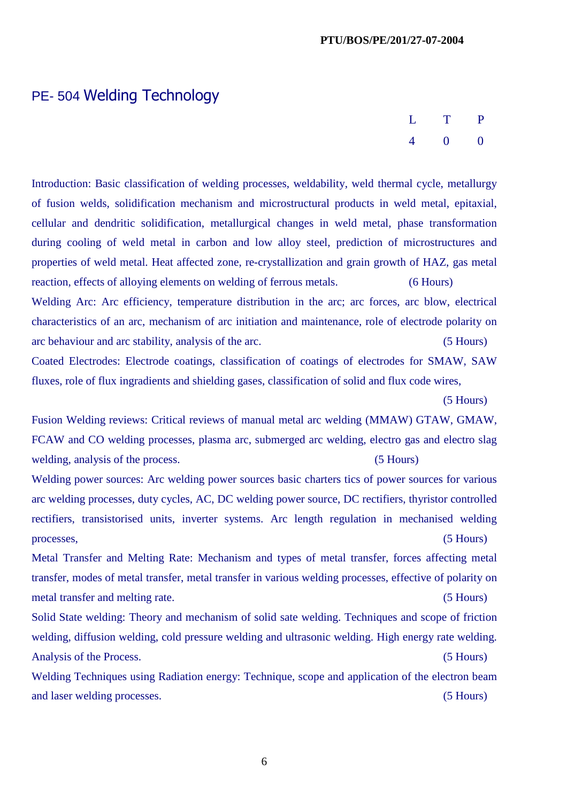# PE- 504 Welding Technology

| L T P |                     |  |
|-------|---------------------|--|
|       | $4\qquad 0\qquad 0$ |  |

Introduction: Basic classification of welding processes, weldability, weld thermal cycle, metallurgy of fusion welds, solidification mechanism and microstructural products in weld metal, epitaxial, cellular and dendritic solidification, metallurgical changes in weld metal, phase transformation during cooling of weld metal in carbon and low alloy steel, prediction of microstructures and properties of weld metal. Heat affected zone, re-crystallization and grain growth of HAZ, gas metal reaction, effects of alloying elements on welding of ferrous metals. (6 Hours) Welding Arc: Arc efficiency, temperature distribution in the arc; arc forces, arc blow, electrical characteristics of an arc, mechanism of arc initiation and maintenance, role of electrode polarity on

arc behaviour and arc stability, analysis of the arc. (5 Hours)

Coated Electrodes: Electrode coatings, classification of coatings of electrodes for SMAW, SAW fluxes, role of flux ingradients and shielding gases, classification of solid and flux code wires,

(5 Hours)

Fusion Welding reviews: Critical reviews of manual metal arc welding (MMAW) GTAW, GMAW, FCAW and CO welding processes, plasma arc, submerged arc welding, electro gas and electro slag welding, analysis of the process. (5 Hours)

Welding power sources: Arc welding power sources basic charters tics of power sources for various arc welding processes, duty cycles, AC, DC welding power source, DC rectifiers, thyristor controlled rectifiers, transistorised units, inverter systems. Arc length regulation in mechanised welding processes, (5 Hours)

Metal Transfer and Melting Rate: Mechanism and types of metal transfer, forces affecting metal transfer, modes of metal transfer, metal transfer in various welding processes, effective of polarity on metal transfer and melting rate. (5 Hours)

Solid State welding: Theory and mechanism of solid sate welding. Techniques and scope of friction welding, diffusion welding, cold pressure welding and ultrasonic welding. High energy rate welding. Analysis of the Process. (5 Hours)

Welding Techniques using Radiation energy: Technique, scope and application of the electron beam and laser welding processes. (5 Hours)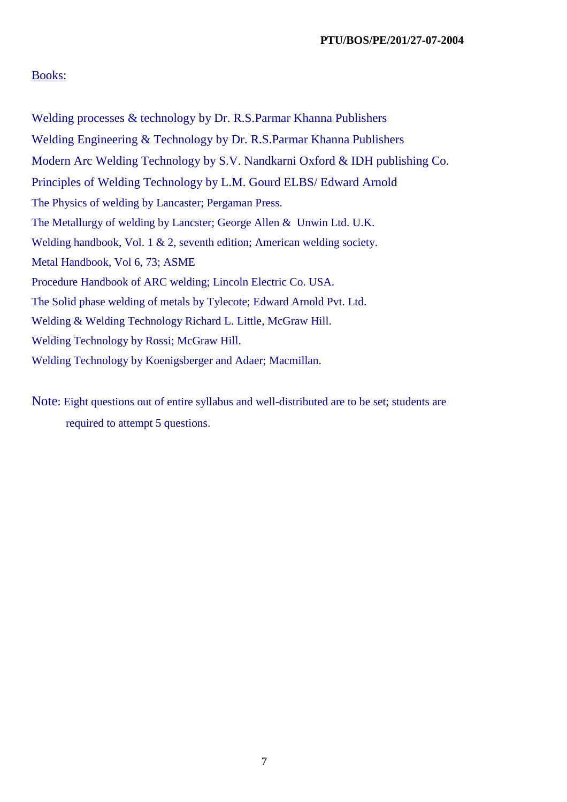#### Books:

Welding processes & technology by Dr. R.S.Parmar Khanna Publishers Welding Engineering & Technology by Dr. R.S.Parmar Khanna Publishers Modern Arc Welding Technology by S.V. Nandkarni Oxford & IDH publishing Co. Principles of Welding Technology by L.M. Gourd ELBS/ Edward Arnold The Physics of welding by Lancaster; Pergaman Press. The Metallurgy of welding by Lancster; George Allen & Unwin Ltd. U.K. Welding handbook, Vol. 1 & 2, seventh edition; American welding society. Metal Handbook, Vol 6, 73; ASME Procedure Handbook of ARC welding; Lincoln Electric Co. USA. The Solid phase welding of metals by Tylecote; Edward Arnold Pvt. Ltd. Welding & Welding Technology Richard L. Little, McGraw Hill. Welding Technology by Rossi; McGraw Hill. Welding Technology by Koenigsberger and Adaer; Macmillan.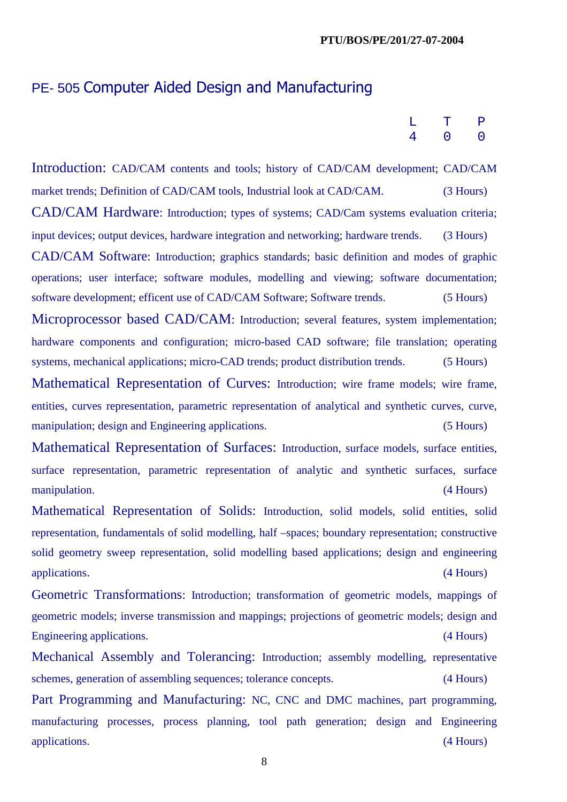## PE- 505 Computer Aided Design and Manufacturing

|  | L T P               |  |
|--|---------------------|--|
|  | $4\qquad 0\qquad 0$ |  |

Introduction: CAD/CAM contents and tools; history of CAD/CAM development; CAD/CAM market trends; Definition of CAD/CAM tools, Industrial look at CAD/CAM. (3 Hours) CAD/CAM Hardware: Introduction; types of systems; CAD/Cam systems evaluation criteria; input devices; output devices, hardware integration and networking; hardware trends. (3 Hours) CAD/CAM Software: Introduction; graphics standards; basic definition and modes of graphic operations; user interface; software modules, modelling and viewing; software documentation; software development; efficent use of CAD/CAM Software; Software trends. (5 Hours) Microprocessor based CAD/CAM: Introduction; several features, system implementation; hardware components and configuration; micro-based CAD software; file translation; operating systems, mechanical applications; micro-CAD trends; product distribution trends. (5 Hours) Mathematical Representation of Curves: Introduction; wire frame models; wire frame, entities, curves representation, parametric representation of analytical and synthetic curves, curve, manipulation; design and Engineering applications. (5 Hours) Mathematical Representation of Surfaces: Introduction, surface models, surface entities, surface representation, parametric representation of analytic and synthetic surfaces, surface manipulation. (4 Hours) Mathematical Representation of Solids: Introduction, solid models, solid entities, solid representation, fundamentals of solid modelling, half –spaces; boundary representation; constructive solid geometry sweep representation, solid modelling based applications; design and engineering applications. (4 Hours) Geometric Transformations: Introduction; transformation of geometric models, mappings of

geometric models; inverse transmission and mappings; projections of geometric models; design and Engineering applications. (4 Hours)

Mechanical Assembly and Tolerancing: Introduction; assembly modelling, representative schemes, generation of assembling sequences; tolerance concepts. (4 Hours)

Part Programming and Manufacturing: NC, CNC and DMC machines, part programming, manufacturing processes, process planning, tool path generation; design and Engineering applications. (4 Hours)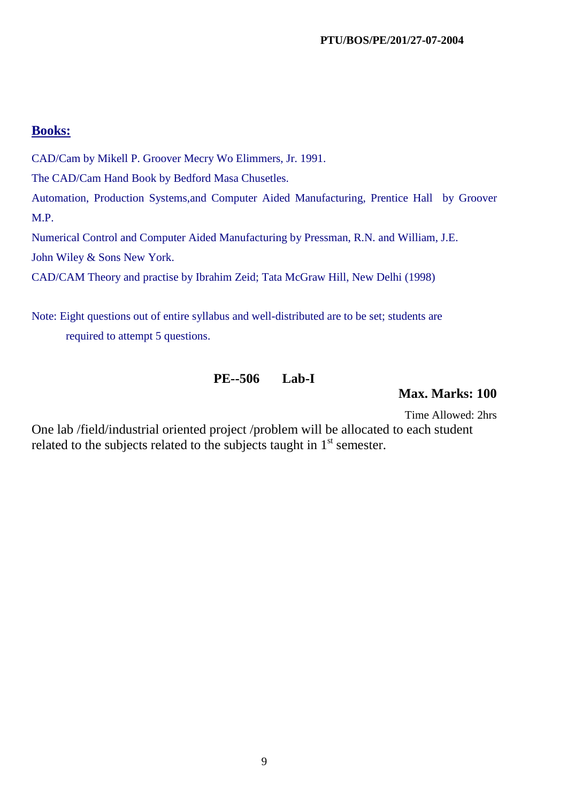## **Books:**

CAD/Cam by Mikell P. Groover Mecry Wo Elimmers, Jr. 1991.

The CAD/Cam Hand Book by Bedford Masa Chusetles.

Automation, Production Systems,and Computer Aided Manufacturing, Prentice Hall by Groover M.P.

Numerical Control and Computer Aided Manufacturing by Pressman, R.N. and William, J.E. John Wiley & Sons New York.

CAD/CAM Theory and practise by Ibrahim Zeid; Tata McGraw Hill, New Delhi (1998)

Note: Eight questions out of entire syllabus and well-distributed are to be set; students are required to attempt 5 questions.

### **PE--506 Lab-I**

**Max. Marks: 100** 

Time Allowed: 2hrs

One lab /field/industrial oriented project /problem will be allocated to each student related to the subjects related to the subjects taught in  $1<sup>st</sup>$  semester.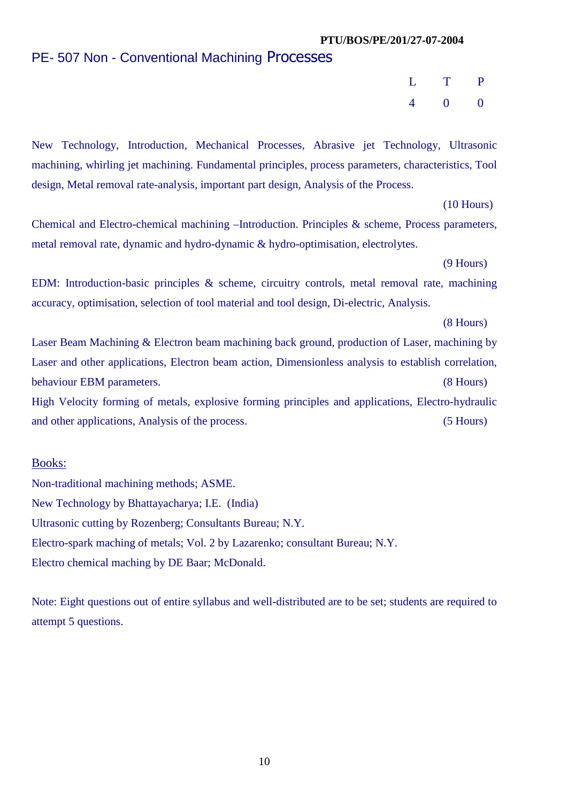# PE- 507 Non - Conventional Machining Processes

 L T P 4 0 0

New Technology, Introduction, Mechanical Processes, Abrasive jet Technology, Ultrasonic machining, whirling jet machining. Fundamental principles, process parameters, characteristics, Tool design, Metal removal rate-analysis, important part design, Analysis of the Process.

(10 Hours)

Chemical and Electro-chemical machining –Introduction. Principles & scheme, Process parameters, metal removal rate, dynamic and hydro-dynamic & hydro-optimisation, electrolytes.

(9 Hours)

EDM: Introduction-basic principles & scheme, circuitry controls, metal removal rate, machining accuracy, optimisation, selection of tool material and tool design, Di-electric, Analysis.

(8 Hours)

Laser Beam Machining & Electron beam machining back ground, production of Laser, machining by Laser and other applications, Electron beam action, Dimensionless analysis to establish correlation, behaviour EBM parameters. (8 Hours) High Velocity forming of metals, explosive forming principles and applications, Electro-hydraulic and other applications, Analysis of the process. (5 Hours)

#### Books:

Non-traditional machining methods; ASME. New Technology by Bhattayacharya; I.E. (India) Ultrasonic cutting by Rozenberg; Consultants Bureau; N.Y. Electro-spark maching of metals; Vol. 2 by Lazarenko; consultant Bureau; N.Y. Electro chemical maching by DE Baar; McDonald.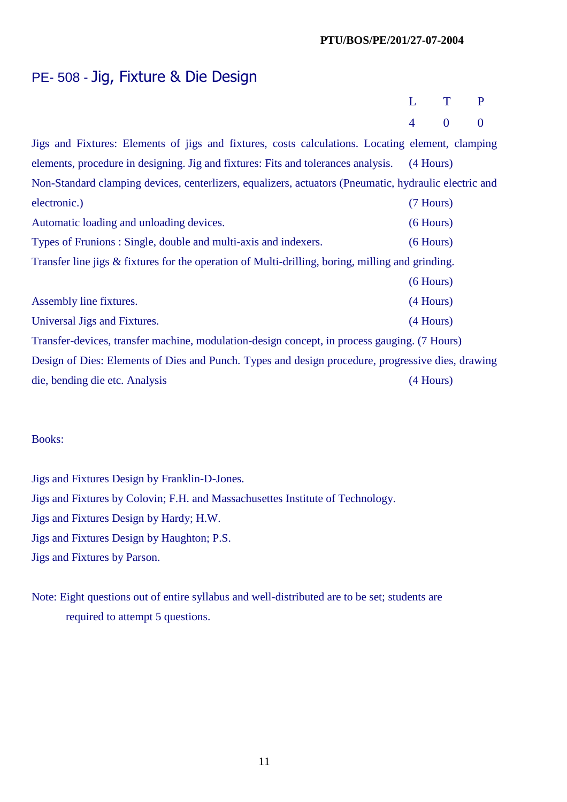## PE- 508 - Jig, Fixture & Die Design

|  | L T P         |  |
|--|---------------|--|
|  | $4 \t 0 \t 0$ |  |

Jigs and Fixtures: Elements of jigs and fixtures, costs calculations. Locating element, clamping elements, procedure in designing. Jig and fixtures: Fits and tolerances analysis. (4 Hours) Non-Standard clamping devices, centerlizers, equalizers, actuators (Pneumatic, hydraulic electric and electronic.) (7 Hours) Automatic loading and unloading devices. (6 Hours) Types of Frunions : Single, double and multi-axis and indexers. (6 Hours) Transfer line jigs & fixtures for the operation of Multi-drilling, boring, milling and grinding. (6 Hours) Assembly line fixtures. (4 Hours) Universal Jigs and Fixtures. (4 Hours) (3 and Fixtures. Transfer-devices, transfer machine, modulation-design concept, in process gauging. (7 Hours) Design of Dies: Elements of Dies and Punch. Types and design procedure, progressive dies, drawing die, bending die etc. Analysis (4 Hours)

#### Books:

Jigs and Fixtures Design by Franklin-D-Jones. Jigs and Fixtures by Colovin; F.H. and Massachusettes Institute of Technology. Jigs and Fixtures Design by Hardy; H.W. Jigs and Fixtures Design by Haughton; P.S. Jigs and Fixtures by Parson.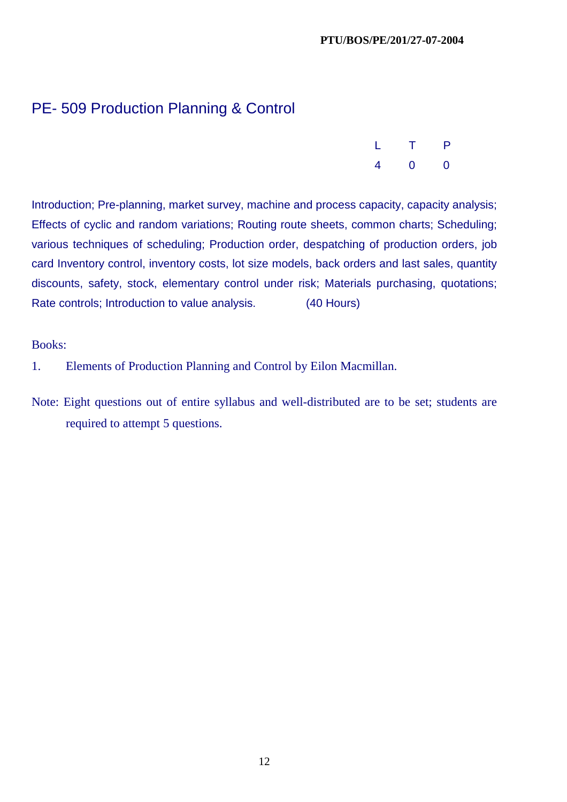# PE- 509 Production Planning & Control

|  | L T P         |  |
|--|---------------|--|
|  | $4 \t 0 \t 0$ |  |

Introduction; Pre-planning, market survey, machine and process capacity, capacity analysis; Effects of cyclic and random variations; Routing route sheets, common charts; Scheduling; various techniques of scheduling; Production order, despatching of production orders, job card Inventory control, inventory costs, lot size models, back orders and last sales, quantity discounts, safety, stock, elementary control under risk; Materials purchasing, quotations; Rate controls; Introduction to value analysis. (40 Hours)

Books:

- 1. Elements of Production Planning and Control by Eilon Macmillan.
- Note: Eight questions out of entire syllabus and well-distributed are to be set; students are required to attempt 5 questions.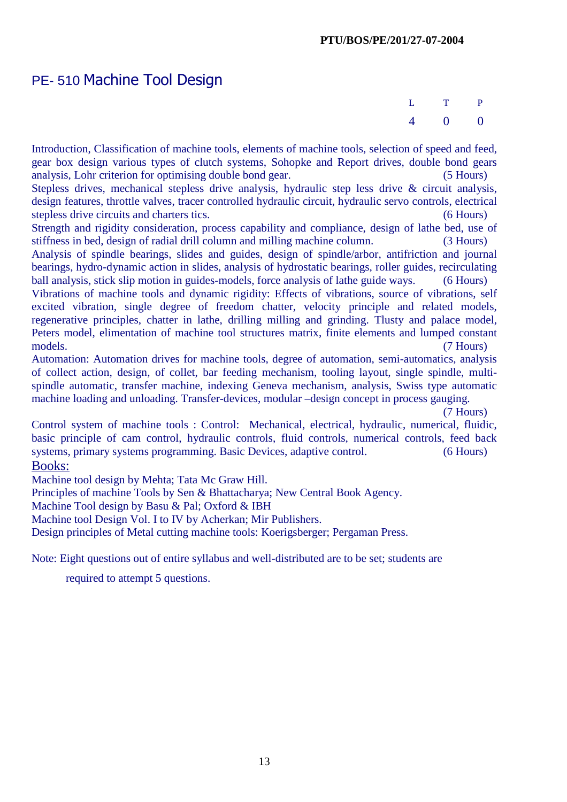# PE- 510 Machine Tool Design

 L T P 4 0 0

Introduction, Classification of machine tools, elements of machine tools, selection of speed and feed, gear box design various types of clutch systems, Sohopke and Report drives, double bond gears analysis, Lohr criterion for optimising double bond gear. (5 Hours)

Stepless drives, mechanical stepless drive analysis, hydraulic step less drive & circuit analysis, design features, throttle valves, tracer controlled hydraulic circuit, hydraulic servo controls, electrical stepless drive circuits and charters tics. (6 Hours) (6 Hours)

Strength and rigidity consideration, process capability and compliance, design of lathe bed, use of stiffness in bed, design of radial drill column and milling machine column. (3 Hours)

Analysis of spindle bearings, slides and guides, design of spindle/arbor, antifriction and journal bearings, hydro-dynamic action in slides, analysis of hydrostatic bearings, roller guides, recirculating ball analysis, stick slip motion in guides-models, force analysis of lathe guide ways. (6 Hours)

Vibrations of machine tools and dynamic rigidity: Effects of vibrations, source of vibrations, self excited vibration, single degree of freedom chatter, velocity principle and related models, regenerative principles, chatter in lathe, drilling milling and grinding. Tlusty and palace model, Peters model, elimentation of machine tool structures matrix, finite elements and lumped constant models. (7 Hours)

Automation: Automation drives for machine tools, degree of automation, semi-automatics, analysis of collect action, design, of collet, bar feeding mechanism, tooling layout, single spindle, multispindle automatic, transfer machine, indexing Geneva mechanism, analysis, Swiss type automatic machine loading and unloading. Transfer-devices, modular –design concept in process gauging.

(7 Hours)

Control system of machine tools : Control: Mechanical, electrical, hydraulic, numerical, fluidic, basic principle of cam control, hydraulic controls, fluid controls, numerical controls, feed back systems, primary systems programming. Basic Devices, adaptive control. (6 Hours) Books:

Machine tool design by Mehta; Tata Mc Graw Hill.

Principles of machine Tools by Sen & Bhattacharya; New Central Book Agency.

Machine Tool design by Basu & Pal; Oxford & IBH

Machine tool Design Vol. I to IV by Acherkan; Mir Publishers.

Design principles of Metal cutting machine tools: Koerigsberger; Pergaman Press.

Note: Eight questions out of entire syllabus and well-distributed are to be set; students are

required to attempt 5 questions.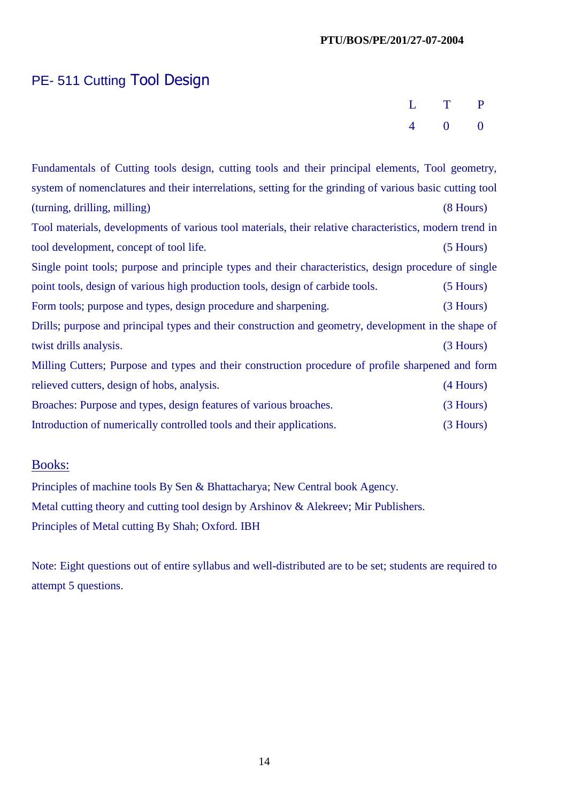# PE- 511 Cutting Tool Design

|  | L T P                 |  |
|--|-----------------------|--|
|  | $4 \qquad 0 \qquad 0$ |  |

Fundamentals of Cutting tools design, cutting tools and their principal elements, Tool geometry, system of nomenclatures and their interrelations, setting for the grinding of various basic cutting tool (turning, drilling, milling) (8 Hours) Tool materials, developments of various tool materials, their relative characteristics, modern trend in tool development, concept of tool life. (5 Hours) Single point tools; purpose and principle types and their characteristics, design procedure of single point tools, design of various high production tools, design of carbide tools. (5 Hours) Form tools; purpose and types, design procedure and sharpening. (3 Hours) Drills; purpose and principal types and their construction and geometry, development in the shape of twist drills analysis. (3 Hours) Milling Cutters; Purpose and types and their construction procedure of profile sharpened and form relieved cutters, design of hobs, analysis. (4 Hours) Broaches: Purpose and types, design features of various broaches. (3 Hours) Introduction of numerically controlled tools and their applications. (3 Hours)

## Books:

Principles of machine tools By Sen & Bhattacharya; New Central book Agency. Metal cutting theory and cutting tool design by Arshinov & Alekreev; Mir Publishers. Principles of Metal cutting By Shah; Oxford. IBH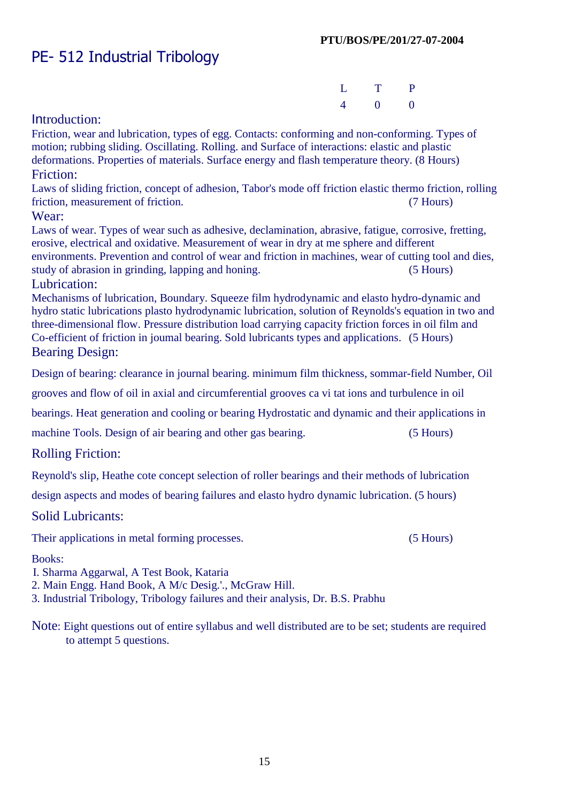# PE- 512 Industrial Tribology

|  | L T P                 |  |
|--|-----------------------|--|
|  | $4 \qquad 0 \qquad 0$ |  |

## Introduction:

Friction, wear and lubrication, types of egg. Contacts: conforming and non-conforming. Types of motion; rubbing sliding. Oscillating. Rolling. and Surface of interactions: elastic and plastic deformations. Properties of materials. Surface energy and flash temperature theory. (8 Hours) Friction:

Laws of sliding friction, concept of adhesion, Tabor's mode off friction elastic thermo friction, rolling friction, measurement of friction. (7 Hours)

#### Wear:

Laws of wear. Types of wear such as adhesive, declamination, abrasive, fatigue, corrosive, fretting, erosive, electrical and oxidative. Measurement of wear in dry at me sphere and different environments. Prevention and control of wear and friction in machines, wear of cutting tool and dies, study of abrasion in grinding, lapping and honing. (5 Hours)

#### Lubrication:

Mechanisms of lubrication, Boundary. Squeeze film hydrodynamic and elasto hydro-dynamic and hydro static lubrications plasto hydrodynamic lubrication, solution of Reynolds's equation in two and three-dimensional flow. Pressure distribution load carrying capacity friction forces in oil film and Co-efficient of friction in joumal bearing. Sold lubricants types and applications. (5 Hours) Bearing Design:

Design of bearing: clearance in journal bearing. minimum film thickness, sommar-field Number, Oil

grooves and flow of oil in axial and circumferential grooves ca vi tat ions and turbulence in oil

bearings. Heat generation and cooling or bearing Hydrostatic and dynamic and their applications in

machine Tools. Design of air bearing and other gas bearing. (5 Hours)

## Rolling Friction:

Reynold's slip, Heathe cote concept selection of roller bearings and their methods of lubrication

design aspects and modes of bearing failures and elasto hydro dynamic lubrication. (5 hours)

#### Solid Lubricants:

Their applications in metal forming processes. (5 Hours)

#### Books:

I. Sharma Aggarwal, A Test Book, Kataria

- 2. Main Engg. Hand Book, A M/c Desig.'., McGraw Hill.
- 3. Industrial Tribology, Tribology failures and their analysis, Dr. B.S. Prabhu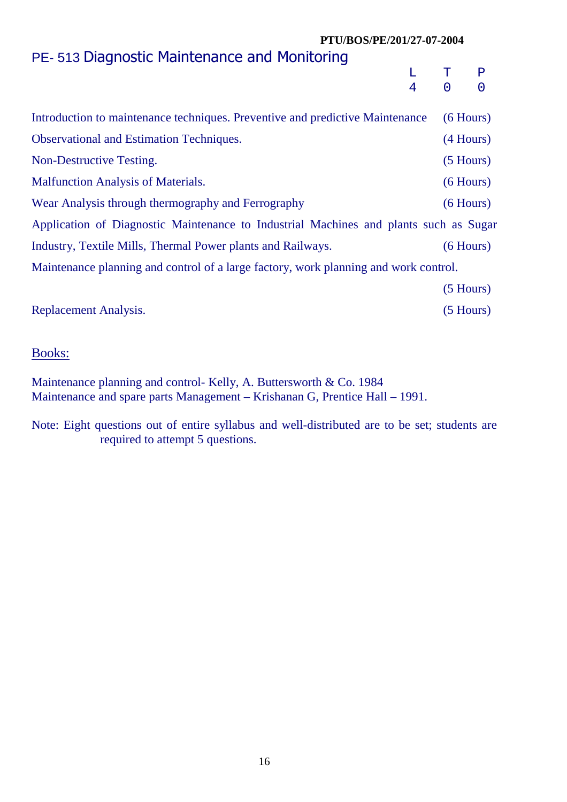# PE- 513 Diagnostic Maintenance and Monitoring

|  | $L$ T P |  |
|--|---------|--|
|  | 4 0 0   |  |

| Introduction to maintenance techniques. Preventive and predictive Maintenance         | $(6$ Hours) |
|---------------------------------------------------------------------------------------|-------------|
| <b>Observational and Estimation Techniques.</b>                                       | $(4$ Hours) |
| Non-Destructive Testing.                                                              | $(5$ Hours) |
| <b>Malfunction Analysis of Materials.</b>                                             | $(6$ Hours) |
| Wear Analysis through thermography and Ferrography                                    | $(6$ Hours) |
| Application of Diagnostic Maintenance to Industrial Machines and plants such as Sugar |             |
| Industry, Textile Mills, Thermal Power plants and Railways.                           | $(6$ Hours) |
| Maintenance planning and control of a large factory, work planning and work control.  |             |
|                                                                                       | $(5$ Hours) |

Replacement Analysis. (5 Hours)

## Books:

Maintenance planning and control- Kelly, A. Buttersworth & Co. 1984 Maintenance and spare parts Management – Krishanan G, Prentice Hall – 1991.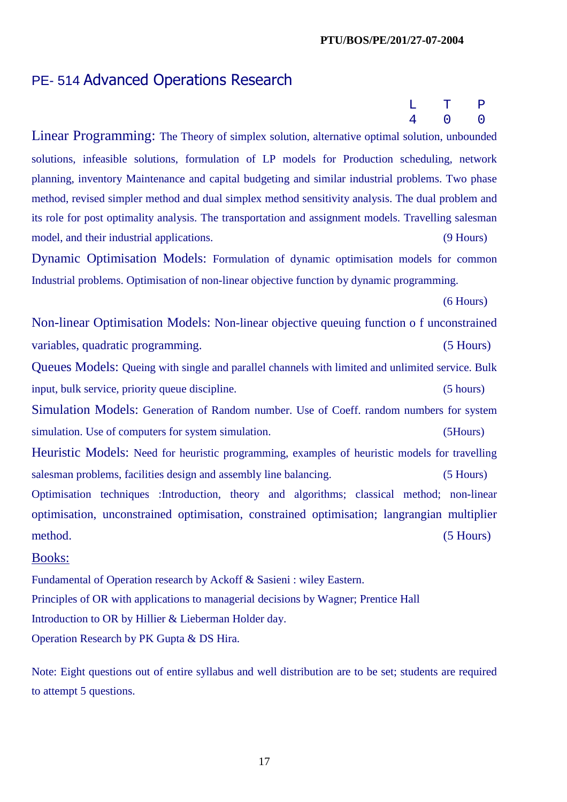# PE- 514 Advanced Operations Research

 $L$  T P 4 0 0

Linear Programming: The Theory of simplex solution, alternative optimal solution, unbounded solutions, infeasible solutions, formulation of LP models for Production scheduling, network planning, inventory Maintenance and capital budgeting and similar industrial problems. Two phase method, revised simpler method and dual simplex method sensitivity analysis. The dual problem and its role for post optimality analysis. The transportation and assignment models. Travelling salesman model, and their industrial applications. (9 Hours)

Dynamic Optimisation Models: Formulation of dynamic optimisation models for common Industrial problems. Optimisation of non-linear objective function by dynamic programming.

(6 Hours)

Non-linear Optimisation Models: Non-linear objective queuing function o f unconstrained variables, quadratic programming. (5 Hours) Queues Models: Queing with single and parallel channels with limited and unlimited service. Bulk input, bulk service, priority queue discipline. (5 hours) Simulation Models: Generation of Random number. Use of Coeff. random numbers for system simulation. Use of computers for system simulation. (5Hours) Heuristic Models: Need for heuristic programming, examples of heuristic models for travelling salesman problems, facilities design and assembly line balancing. (5 Hours) Optimisation techniques :Introduction, theory and algorithms; classical method; non-linear optimisation, unconstrained optimisation, constrained optimisation; langrangian multiplier

method. (5 Hours)

#### Books:

Fundamental of Operation research by Ackoff & Sasieni : wiley Eastern. Principles of OR with applications to managerial decisions by Wagner; Prentice Hall Introduction to OR by Hillier & Lieberman Holder day. Operation Research by PK Gupta & DS Hira.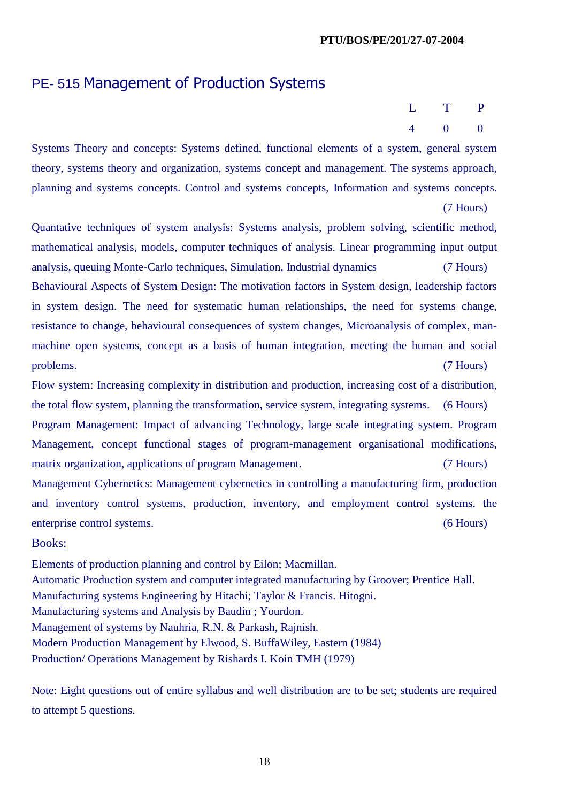# PE- 515 Management of Production Systems

| L T P |                       |  |
|-------|-----------------------|--|
|       | $4 \qquad 0 \qquad 0$ |  |

Systems Theory and concepts: Systems defined, functional elements of a system, general system theory, systems theory and organization, systems concept and management. The systems approach, planning and systems concepts. Control and systems concepts, Information and systems concepts.

(7 Hours)

Quantative techniques of system analysis: Systems analysis, problem solving, scientific method, mathematical analysis, models, computer techniques of analysis. Linear programming input output analysis, queuing Monte-Carlo techniques, Simulation, Industrial dynamics (7 Hours) Behavioural Aspects of System Design: The motivation factors in System design, leadership factors in system design. The need for systematic human relationships, the need for systems change, resistance to change, behavioural consequences of system changes, Microanalysis of complex, manmachine open systems, concept as a basis of human integration, meeting the human and social problems. (7 Hours)

Flow system: Increasing complexity in distribution and production, increasing cost of a distribution, the total flow system, planning the transformation, service system, integrating systems. (6 Hours) Program Management: Impact of advancing Technology, large scale integrating system. Program Management, concept functional stages of program-management organisational modifications, matrix organization, applications of program Management. (7 Hours) Management Cybernetics: Management cybernetics in controlling a manufacturing firm, production and inventory control systems, production, inventory, and employment control systems, the enterprise control systems. (6 Hours)

#### Books:

Elements of production planning and control by Eilon; Macmillan. Automatic Production system and computer integrated manufacturing by Groover; Prentice Hall. Manufacturing systems Engineering by Hitachi; Taylor & Francis. Hitogni. Manufacturing systems and Analysis by Baudin ; Yourdon. Management of systems by Nauhria, R.N. & Parkash, Rajnish. Modern Production Management by Elwood, S. BuffaWiley, Eastern (1984) Production/ Operations Management by Rishards I. Koin TMH (1979)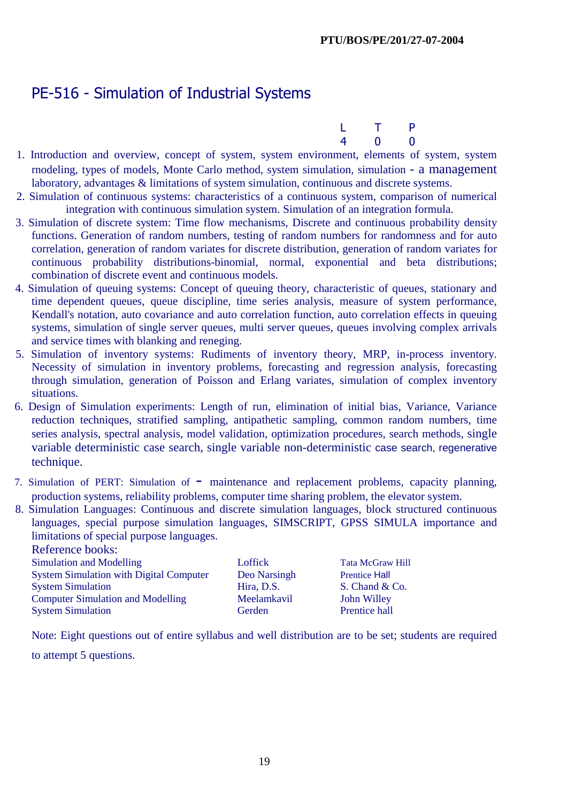# PE-516 - Simulation of Industrial Systems

|  | L <sub>T</sub> P |  |
|--|------------------|--|
|  | 4 0 0            |  |

- 1. Introduction and overview, concept of system, system environment, elements of system, system rnodeling, types of models, Monte Carlo method, system simulation, simulation - a management laboratory, advantages & limitations of system simulation, continuous and discrete systems.
- 2. Simulation of continuous systems: characteristics of a continuous system, comparison of numerical integration with continuous simulation system. Simulation of an integration formula.
- 3. Simulation of discrete system: Time flow mechanisms, Discrete and continuous probability density functions. Generation of random numbers, testing of random numbers for randomness and for auto correlation, generation of random variates for discrete distribution, generation of random variates for continuous probability distributions-binomial, normal, exponential and beta distributions; combination of discrete event and continuous models.
- 4. Simulation of queuing systems: Concept of queuing theory, characteristic of queues, stationary and time dependent queues, queue discipline, time series analysis, measure of system performance, Kendall's notation, auto covariance and auto correlation function, auto correlation effects in queuing systems, simulation of single server queues, multi server queues, queues involving complex arrivals and service times with blanking and reneging.
- 5. Simulation of inventory systems: Rudiments of inventory theory, MRP, in-process inventory. Necessity of simulation in inventory problems, forecasting and regression analysis, forecasting through simulation, generation of Poisson and Erlang variates, simulation of complex inventory situations.
- 6. Design of Simulation experiments: Length of run, elimination of initial bias, Variance, Variance reduction techniques, stratified sampling, antipathetic sampling, common random numbers, time series analysis, spectral analysis, model validation, optimization procedures, search methods, single variable deterministic case search, single variable non-deterministic case search, regenerative technique.
- 7. Simulation of PERT: Simulation of maintenance and replacement problems, capacity planning, production systems, reliability problems, computer time sharing problem, the elevator system.
- 8. Simulation Languages: Continuous and discrete simulation languages, block structured continuous languages, special purpose simulation languages, SIMSCRIPT, GPSS SIMULA importance and limitations of special purpose languages.

| <i>RORTONO COURS.</i>                          |              |                         |
|------------------------------------------------|--------------|-------------------------|
| Simulation and Modelling                       | Loffick      | <b>Tata McGraw Hill</b> |
| <b>System Simulation with Digital Computer</b> | Deo Narsingh | <b>Prentice Hall</b>    |
| <b>System Simulation</b>                       | Hira, D.S.   | S. Chand & Co.          |
| <b>Computer Simulation and Modelling</b>       | Meelamkavil  | <b>John Willey</b>      |
| <b>System Simulation</b>                       | Gerden       | Prentice hall           |

Note: Eight questions out of entire syllabus and well distribution are to be set; students are required

to attempt 5 questions.

Reference books: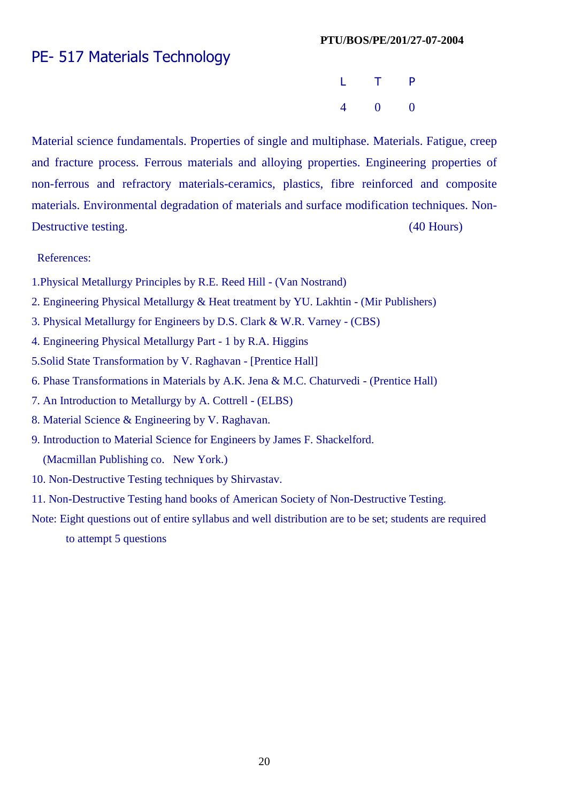# PE- 517 Materials Technology

**L** T P 4 0 0

Material science fundamentals. Properties of single and multiphase. Materials. Fatigue, creep and fracture process. Ferrous materials and alloying properties. Engineering properties of non-ferrous and refractory materials-ceramics, plastics, fibre reinforced and composite materials. Environmental degradation of materials and surface modification techniques. Non-Destructive testing. (40 Hours)

References:

- 1.Physical Metallurgy Principles by R.E. Reed Hill (Van Nostrand)
- 2. Engineering Physical Metallurgy & Heat treatment by YU. Lakhtin (Mir Publishers)
- 3. Physical Metallurgy for Engineers by D.S. Clark & W.R. Varney (CBS)
- 4. Engineering Physical Metallurgy Part 1 by R.A. Higgins
- 5.Solid State Transformation by V. Raghavan [Prentice Hall]
- 6. Phase Transformations in Materials by A.K. Jena & M.C. Chaturvedi (Prentice Hall)
- 7. An Introduction to Metallurgy by A. Cottrell (ELBS)
- 8. Material Science & Engineering by V. Raghavan.
- 9. Introduction to Material Science for Engineers by James F. Shackelford. (Macmillan Publishing co. New York.)
- 10. Non-Destructive Testing techniques by Shirvastav.
- 11. Non-Destructive Testing hand books of American Society of Non-Destructive Testing.
- Note: Eight questions out of entire syllabus and well distribution are to be set; students are required to attempt 5 questions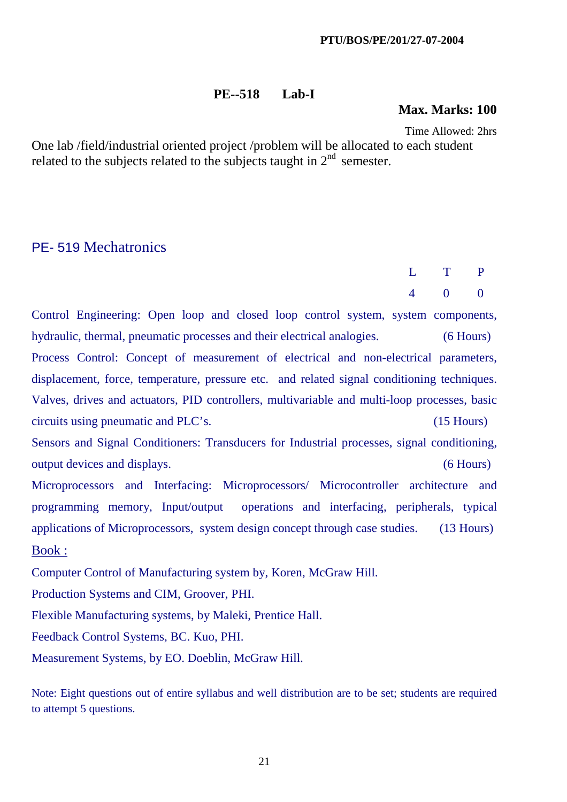### **PE--518 Lab-I**

#### **Max. Marks: 100**

Time Allowed: 2hrs

One lab /field/industrial oriented project /problem will be allocated to each student related to the subjects related to the subjects taught in  $2<sup>nd</sup>$  semester.

## PE- 519 Mechatronics

|  | $L$ T P             |  |
|--|---------------------|--|
|  | $4\qquad 0\qquad 0$ |  |

Control Engineering: Open loop and closed loop control system, system components, hydraulic, thermal, pneumatic processes and their electrical analogies. (6 Hours) Process Control: Concept of measurement of electrical and non-electrical parameters, displacement, force, temperature, pressure etc. and related signal conditioning techniques. Valves, drives and actuators, PID controllers, multivariable and multi-loop processes, basic circuits using pneumatic and PLC's. (15 Hours) Sensors and Signal Conditioners: Transducers for Industrial processes, signal conditioning, output devices and displays. (6 Hours) Microprocessors and Interfacing: Microprocessors/ Microcontroller architecture and programming memory, Input/output operations and interfacing, peripherals, typical applications of Microprocessors, system design concept through case studies. (13 Hours) Book : Computer Control of Manufacturing system by, Koren, McGraw Hill.

Production Systems and CIM, Groover, PHI.

Flexible Manufacturing systems, by Maleki, Prentice Hall.

Feedback Control Systems, BC. Kuo, PHI.

Measurement Systems, by EO. Doeblin, McGraw Hill.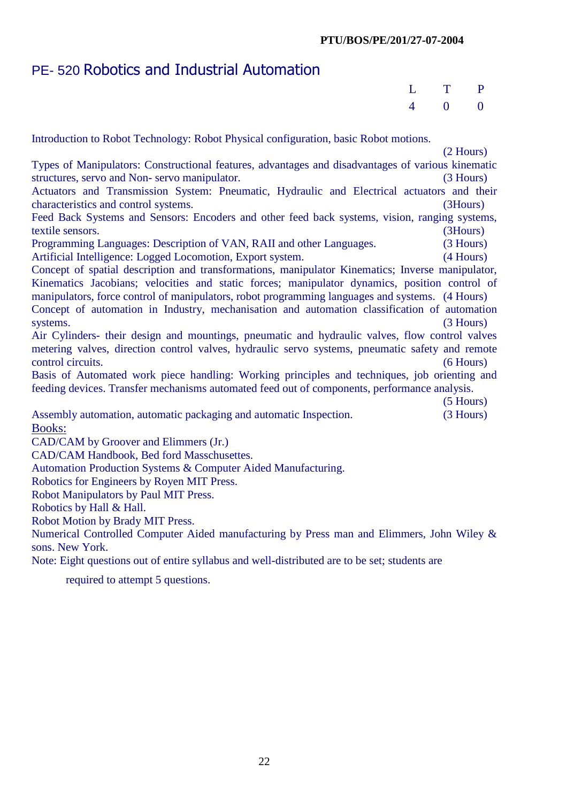# PE- 520 Robotics and Industrial Automation

| L T P |               |  |
|-------|---------------|--|
|       | $4 \t 0 \t 0$ |  |

Introduction to Robot Technology: Robot Physical configuration, basic Robot motions. (2 Hours) Types of Manipulators: Constructional features, advantages and disadvantages of various kinematic structures, servo and Non- servo manipulator. (3 Hours) Actuators and Transmission System: Pneumatic, Hydraulic and Electrical actuators and their characteristics and control systems. (3Hours) Feed Back Systems and Sensors: Encoders and other feed back systems, vision, ranging systems, textile sensors. (3Hours) Programming Languages: Description of VAN, RAII and other Languages. (3 Hours) Artificial Intelligence: Logged Locomotion, Export system. (4 Hours) Concept of spatial description and transformations, manipulator Kinematics; Inverse manipulator, Kinematics Jacobians; velocities and static forces; manipulator dynamics, position control of manipulators, force control of manipulators, robot programming languages and systems. (4 Hours) Concept of automation in Industry, mechanisation and automation classification of automation systems. (3 Hours) Air Cylinders- their design and mountings, pneumatic and hydraulic valves, flow control valves metering valves, direction control valves, hydraulic servo systems, pneumatic safety and remote control circuits. (6 Hours) Basis of Automated work piece handling: Working principles and techniques, job orienting and feeding devices. Transfer mechanisms automated feed out of components, performance analysis. (5 Hours) Assembly automation, automatic packaging and automatic Inspection. (3 Hours) Books: CAD/CAM by Groover and Elimmers (Jr.) CAD/CAM Handbook, Bed ford Masschusettes. Automation Production Systems & Computer Aided Manufacturing. Robotics for Engineers by Royen MIT Press. Robot Manipulators by Paul MIT Press. Robotics by Hall & Hall.

Robot Motion by Brady MIT Press.

Numerical Controlled Computer Aided manufacturing by Press man and Elimmers, John Wiley & sons. New York.

Note: Eight questions out of entire syllabus and well-distributed are to be set; students are

required to attempt 5 questions.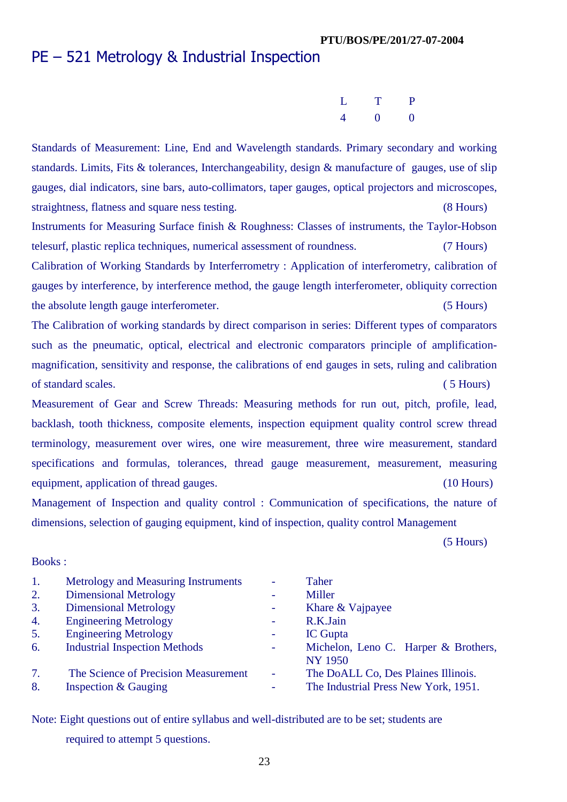# PE – 521 Metrology & Industrial Inspection

| L T P                 |  |
|-----------------------|--|
| $4 \qquad 0 \qquad 0$ |  |

Standards of Measurement: Line, End and Wavelength standards. Primary secondary and working standards. Limits, Fits & tolerances, Interchangeability, design & manufacture of gauges, use of slip gauges, dial indicators, sine bars, auto-collimators, taper gauges, optical projectors and microscopes, straightness, flatness and square ness testing. (8 Hours)

Instruments for Measuring Surface finish & Roughness: Classes of instruments, the Taylor-Hobson telesurf, plastic replica techniques, numerical assessment of roundness. (7 Hours)

Calibration of Working Standards by Interferrometry : Application of interferometry, calibration of gauges by interference, by interference method, the gauge length interferometer, obliquity correction the absolute length gauge interferometer. (5 Hours)

The Calibration of working standards by direct comparison in series: Different types of comparators such as the pneumatic, optical, electrical and electronic comparators principle of amplificationmagnification, sensitivity and response, the calibrations of end gauges in sets, ruling and calibration of standard scales. ( 5 Hours)

Measurement of Gear and Screw Threads: Measuring methods for run out, pitch, profile, lead, backlash, tooth thickness, composite elements, inspection equipment quality control screw thread terminology, measurement over wires, one wire measurement, three wire measurement, standard specifications and formulas, tolerances, thread gauge measurement, measurement, measuring equipment, application of thread gauges. (10 Hours) (10 Hours)

Management of Inspection and quality control : Communication of specifications, the nature of dimensions, selection of gauging equipment, kind of inspection, quality control Management

(5 Hours)

#### Books :

| 1. | Metrology and Measuring Instruments  |                          | Taher                                |
|----|--------------------------------------|--------------------------|--------------------------------------|
| 2. | <b>Dimensional Metrology</b>         |                          | Miller                               |
| 3. | <b>Dimensional Metrology</b>         | $\overline{\phantom{a}}$ | Khare & Vajpayee                     |
| 4. | <b>Engineering Metrology</b>         |                          | R.K.Jain                             |
| 5. | <b>Engineering Metrology</b>         | $\overline{\phantom{a}}$ | <b>IC</b> Gupta                      |
| 6. | <b>Industrial Inspection Methods</b> | $\overline{\phantom{a}}$ | Michelon, Leno C. Harper & Brothers, |
|    |                                      |                          | <b>NY 1950</b>                       |
| 7. | The Science of Precision Measurement | $\overline{\phantom{a}}$ | The DoALL Co, Des Plaines Illinois.  |
| 8. | <b>Inspection &amp; Gauging</b>      |                          | The Industrial Press New York, 1951. |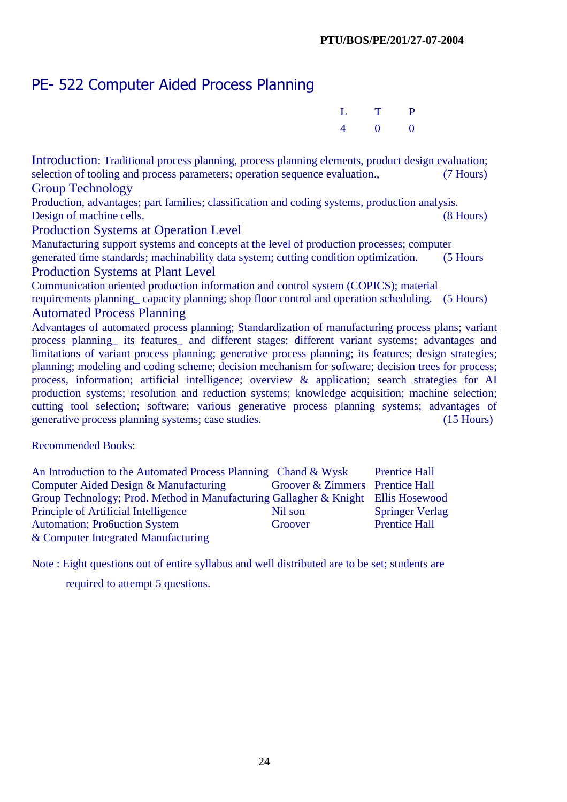# PE- 522 Computer Aided Process Planning

| L T P                 |  |
|-----------------------|--|
| $4 \qquad 0 \qquad 0$ |  |

Introduction: Traditional process planning, process planning elements, product design evaluation; selection of tooling and process parameters; operation sequence evaluation., (7 Hours) Group Technology

Production, advantages; part families; classification and coding systems, production analysis. Design of machine cells. (8 Hours)

#### Production Systems at Operation Level

Manufacturing support systems and concepts at the level of production processes; computer generated time standards; machinability data system; cutting condition optimization. (5 Hours Production Systems at Plant Level

Communication oriented production information and control system (COPICS); material

requirements planning\_ capacity planning; shop floor control and operation scheduling. (5 Hours) Automated Process Planning

Advantages of automated process planning; Standardization of manufacturing process plans; variant process planning\_ its features\_ and different stages; different variant systems; advantages and limitations of variant process planning; generative process planning; its features; design strategies; planning; modeling and coding scheme; decision mechanism for software; decision trees for process; process, information; artificial intelligence; overview & application; search strategies for AI production systems; resolution and reduction systems; knowledge acquisition; machine selection; cutting tool selection; software; various generative process planning systems; advantages of generative process planning systems; case studies. (15 Hours)

Recommended Books:

| An Introduction to the Automated Process Planning Chand & Wysk                    |                                 | <b>Prentice Hall</b>   |
|-----------------------------------------------------------------------------------|---------------------------------|------------------------|
| Computer Aided Design & Manufacturing                                             | Groover & Zimmers Prentice Hall |                        |
| Group Technology; Prod. Method in Manufacturing Gallagher & Knight Ellis Hosewood |                                 |                        |
| Principle of Artificial Intelligence                                              | Nil son                         | <b>Springer Verlag</b> |
| <b>Automation</b> ; Probuction System                                             | Groover                         | <b>Prentice Hall</b>   |
| & Computer Integrated Manufacturing                                               |                                 |                        |

Note : Eight questions out of entire syllabus and well distributed are to be set; students are

required to attempt 5 questions.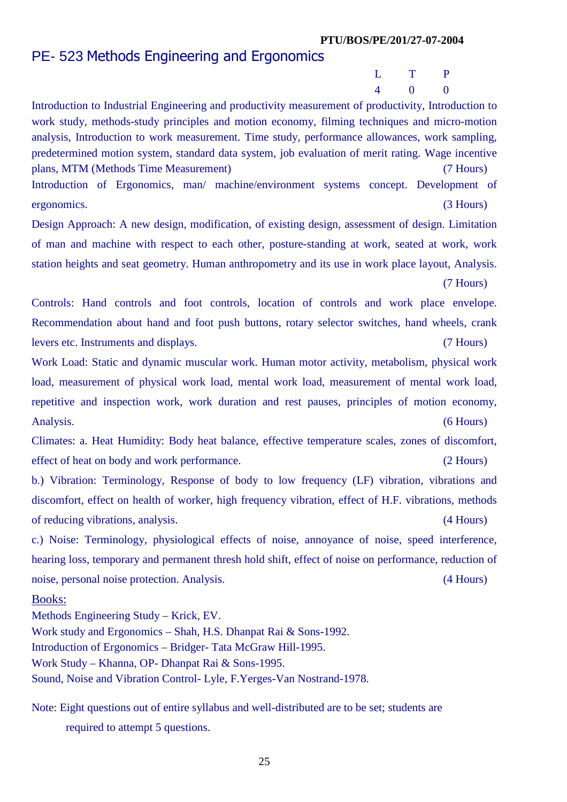## PE- 523 Methods Engineering and Ergonomics

 L T P 4 0 0

Introduction to Industrial Engineering and productivity measurement of productivity, Introduction to work study, methods-study principles and motion economy, filming techniques and micro-motion analysis, Introduction to work measurement. Time study, performance allowances, work sampling, predetermined motion system, standard data system, job evaluation of merit rating. Wage incentive plans, MTM (Methods Time Measurement) (7 Hours) Introduction of Ergonomics, man/ machine/environment systems concept. Development of ergonomics. (3 Hours)

Design Approach: A new design, modification, of existing design, assessment of design. Limitation of man and machine with respect to each other, posture-standing at work, seated at work, work station heights and seat geometry. Human anthropometry and its use in work place layout, Analysis. (7 Hours)

Controls: Hand controls and foot controls, location of controls and work place envelope. Recommendation about hand and foot push buttons, rotary selector switches, hand wheels, crank levers etc. Instruments and displays. (7 Hours)

Work Load: Static and dynamic muscular work. Human motor activity, metabolism, physical work load, measurement of physical work load, mental work load, measurement of mental work load, repetitive and inspection work, work duration and rest pauses, principles of motion economy, Analysis. (6 Hours)

Climates: a. Heat Humidity: Body heat balance, effective temperature scales, zones of discomfort, effect of heat on body and work performance. (2 Hours)

b.) Vibration: Terminology, Response of body to low frequency (LF) vibration, vibrations and discomfort, effect on health of worker, high frequency vibration, effect of H.F. vibrations, methods of reducing vibrations, analysis. (4 Hours)

c.) Noise: Terminology, physiological effects of noise, annoyance of noise, speed interference, hearing loss, temporary and permanent thresh hold shift, effect of noise on performance, reduction of noise, personal noise protection. Analysis. (4 Hours)

#### Books:

Methods Engineering Study – Krick, EV. Work study and Ergonomics – Shah, H.S. Dhanpat Rai & Sons-1992. Introduction of Ergonomics – Bridger- Tata McGraw Hill-1995. Work Study – Khanna, OP- Dhanpat Rai & Sons-1995. Sound, Noise and Vibration Control- Lyle, F.Yerges-Van Nostrand-1978.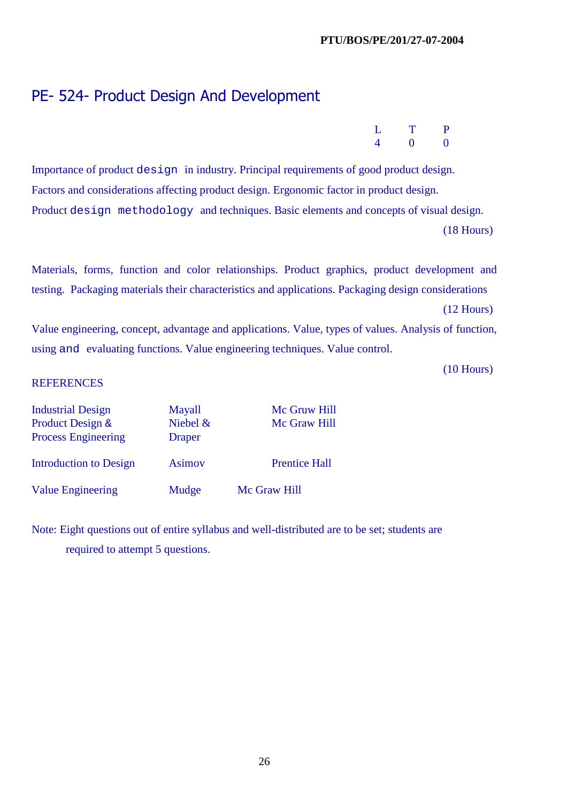26

# PE- 524- Product Design And Development

Importance of product design in industry. Principal requirements of good product design. Factors and considerations affecting product design. Ergonomic factor in product design. Product design methodology and techniques. Basic elements and concepts of visual design. (18 Hours)

Materials, forms, function and color relationships. Product graphics, product development and testing. Packaging materials their characteristics and applications. Packaging design considerations

(12 Hours)

Value engineering, concept, advantage and applications. Value, types of values. Analysis of function, using and evaluating functions. Value engineering techniques. Value control.

(10 Hours)

#### **REFERENCES**

| <b>Industrial Design</b>      | Mayall        | Mc Gruw Hill         |
|-------------------------------|---------------|----------------------|
| Product Design &              | Niebel $\&$   | Mc Graw Hill         |
| <b>Process Engineering</b>    | <b>Draper</b> |                      |
| <b>Introduction to Design</b> | <b>Asimov</b> | <b>Prentice Hall</b> |
| <b>Value Engineering</b>      | Mudge         | Mc Graw Hill         |

|  | L T P                 |  |
|--|-----------------------|--|
|  | $4 \qquad 0 \qquad 0$ |  |

| 7 општ |  |
|--------|--|
|        |  |
| Mudge  |  |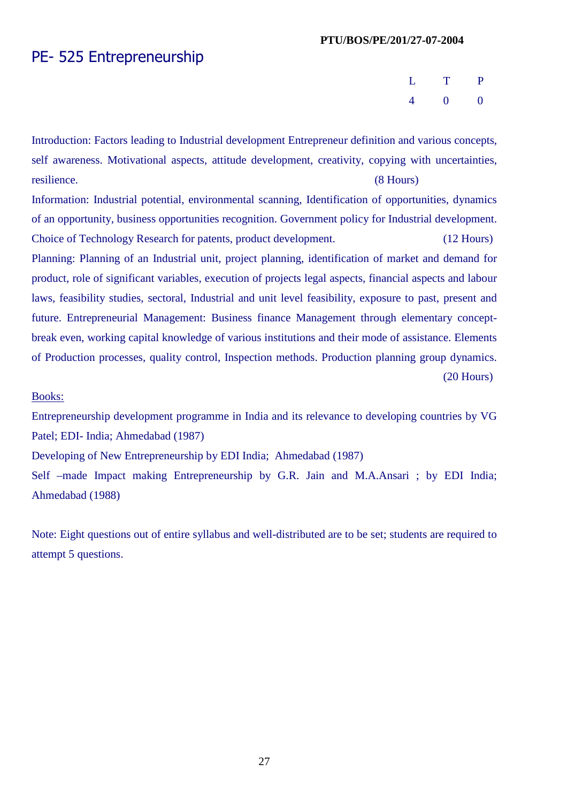## PE- 525 Entrepreneurship

| L T P                                       |  |
|---------------------------------------------|--|
| $\begin{array}{cccc} 4 & 0 & 0 \end{array}$ |  |

Introduction: Factors leading to Industrial development Entrepreneur definition and various concepts, self awareness. Motivational aspects, attitude development, creativity, copying with uncertainties, resilience. (8 Hours)

Information: Industrial potential, environmental scanning, Identification of opportunities, dynamics of an opportunity, business opportunities recognition. Government policy for Industrial development. Choice of Technology Research for patents, product development. (12 Hours)

Planning: Planning of an Industrial unit, project planning, identification of market and demand for product, role of significant variables, execution of projects legal aspects, financial aspects and labour laws, feasibility studies, sectoral, Industrial and unit level feasibility, exposure to past, present and future. Entrepreneurial Management: Business finance Management through elementary conceptbreak even, working capital knowledge of various institutions and their mode of assistance. Elements of Production processes, quality control, Inspection methods. Production planning group dynamics. (20 Hours)

#### Books:

Entrepreneurship development programme in India and its relevance to developing countries by VG Patel; EDI- India; Ahmedabad (1987)

Developing of New Entrepreneurship by EDI India; Ahmedabad (1987)

Self –made Impact making Entrepreneurship by G.R. Jain and M.A.Ansari ; by EDI India; Ahmedabad (1988)